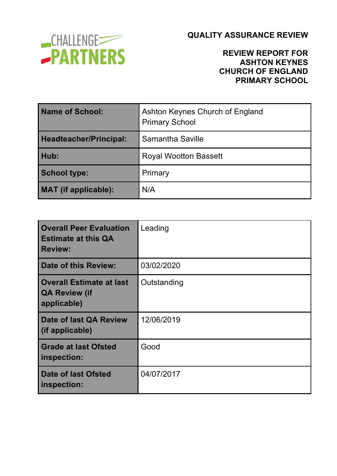

## **REVIEW REPORT FOR ASHTON KEYNES CHURCH OF ENGLAND PRIMARY SCHOOL**

| Name of School:             | Ashton Keynes Church of England<br><b>Primary School</b> |
|-----------------------------|----------------------------------------------------------|
| Headteacher/Principal:      | Samantha Saville                                         |
| Hub:                        | <b>Royal Wootton Bassett</b>                             |
| <b>School type:</b>         | Primary                                                  |
| <b>MAT</b> (if applicable): | N/A                                                      |

| <b>Overall Peer Evaluation</b><br><b>Estimate at this QA</b><br><b>Review:</b> | Leading     |
|--------------------------------------------------------------------------------|-------------|
| <b>Date of this Review:</b>                                                    | 03/02/2020  |
| <b>Overall Estimate at last</b><br><b>QA Review (if</b><br>applicable)         | Outstanding |
| Date of last QA Review<br>(if applicable)                                      | 12/06/2019  |
| <b>Grade at last Ofsted</b><br>inspection:                                     | Good        |
| Date of last Ofsted<br>inspection:                                             | 04/07/2017  |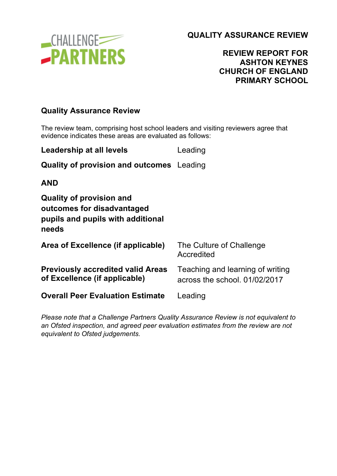

## **REVIEW REPORT FOR ASHTON KEYNES CHURCH OF ENGLAND PRIMARY SCHOOL**

## **Quality Assurance Review**

The review team, comprising host school leaders and visiting reviewers agree that evidence indicates these areas are evaluated as follows:

| <b>Leadership at all levels</b>                                                                             | Leading                                                           |
|-------------------------------------------------------------------------------------------------------------|-------------------------------------------------------------------|
| <b>Quality of provision and outcomes</b> Leading                                                            |                                                                   |
| <b>AND</b>                                                                                                  |                                                                   |
| <b>Quality of provision and</b><br>outcomes for disadvantaged<br>pupils and pupils with additional<br>needs |                                                                   |
| Area of Excellence (if applicable)                                                                          | The Culture of Challenge<br>Accredited                            |
| <b>Previously accredited valid Areas</b><br>of Excellence (if applicable)                                   | Teaching and learning of writing<br>across the school. 01/02/2017 |
| <b>Overall Peer Evaluation Estimate</b>                                                                     | Leading                                                           |

*Please note that a Challenge Partners Quality Assurance Review is not equivalent to an Ofsted inspection, and agreed peer evaluation estimates from the review are not equivalent to Ofsted judgements.*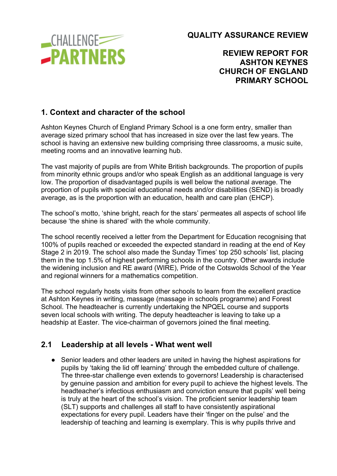

## **REVIEW REPORT FOR ASHTON KEYNES CHURCH OF ENGLAND PRIMARY SCHOOL**

## **1. Context and character of the school**

Ashton Keynes Church of England Primary School is a one form entry, smaller than average sized primary school that has increased in size over the last few years. The school is having an extensive new building comprising three classrooms, a music suite, meeting rooms and an innovative learning hub.

The vast majority of pupils are from White British backgrounds. The proportion of pupils from minority ethnic groups and/or who speak English as an additional language is very low. The proportion of disadvantaged pupils is well below the national average. The proportion of pupils with special educational needs and/or disabilities (SEND) is broadly average, as is the proportion with an education, health and care plan (EHCP).

The school's motto, 'shine bright, reach for the stars' permeates all aspects of school life because 'the shine is shared' with the whole community.

The school recently received a letter from the Department for Education recognising that 100% of pupils reached or exceeded the expected standard in reading at the end of Key Stage 2 in 2019. The school also made the Sunday Times' top 250 schools' list, placing them in the top 1.5% of highest performing schools in the country. Other awards include the widening inclusion and RE award (WIRE), Pride of the Cotswolds School of the Year and regional winners for a mathematics competition.

The school regularly hosts visits from other schools to learn from the excellent practice at Ashton Keynes in writing, massage (massage in schools programme) and Forest School. The headteacher is currently undertaking the NPQEL course and supports seven local schools with writing. The deputy headteacher is leaving to take up a headship at Easter. The vice-chairman of governors joined the final meeting.

#### **2.1 Leadership at all levels - What went well**

● Senior leaders and other leaders are united in having the highest aspirations for pupils by 'taking the lid off learning' through the embedded culture of challenge. The three-star challenge even extends to governors! Leadership is characterised by genuine passion and ambition for every pupil to achieve the highest levels. The headteacher's infectious enthusiasm and conviction ensure that pupils' well being is truly at the heart of the school's vision. The proficient senior leadership team (SLT) supports and challenges all staff to have consistently aspirational expectations for every pupil. Leaders have their 'finger on the pulse' and the leadership of teaching and learning is exemplary. This is why pupils thrive and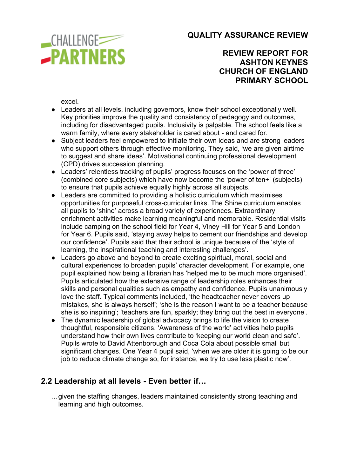

## **REVIEW REPORT FOR ASHTON KEYNES CHURCH OF ENGLAND PRIMARY SCHOOL**

excel.

- Leaders at all levels, including governors, know their school exceptionally well. Key priorities improve the quality and consistency of pedagogy and outcomes, including for disadvantaged pupils. Inclusivity is palpable. The school feels like a warm family, where every stakeholder is cared about - and cared for.
- Subject leaders feel empowered to initiate their own ideas and are strong leaders who support others through effective monitoring. They said, 'we are given airtime to suggest and share ideas'. Motivational continuing professional development (CPD) drives succession planning.
- Leaders' relentless tracking of pupils' progress focuses on the 'power of three' (combined core subjects) which have now become the 'power of ten+' (subjects) to ensure that pupils achieve equally highly across all subjects.
- Leaders are committed to providing a holistic curriculum which maximises opportunities for purposeful cross-curricular links. The Shine curriculum enables all pupils to 'shine' across a broad variety of experiences. Extraordinary enrichment activities make learning meaningful and memorable. Residential visits include camping on the school field for Year 4, Viney Hill for Year 5 and London for Year 6. Pupils said, 'staying away helps to cement our friendships and develop our confidence'. Pupils said that their school is unique because of the 'style of learning, the inspirational teaching and interesting challenges'.
- Leaders go above and beyond to create exciting spiritual, moral, social and cultural experiences to broaden pupils' character development. For example, one pupil explained how being a librarian has 'helped me to be much more organised'. Pupils articulated how the extensive range of leadership roles enhances their skills and personal qualities such as empathy and confidence. Pupils unanimously love the staff. Typical comments included, 'the headteacher never covers up mistakes, she is always herself'; 'she is the reason I want to be a teacher because she is so inspiring'; 'teachers are fun, sparkly; they bring out the best in everyone'.
- The dynamic leadership of global advocacy brings to life the vision to create thoughtful, responsible citizens. 'Awareness of the world' activities help pupils understand how their own lives contribute to 'keeping our world clean and safe'. Pupils wrote to David Attenborough and Coca Cola about possible small but significant changes. One Year 4 pupil said, 'when we are older it is going to be our job to reduce climate change so, for instance, we try to use less plastic now'.

## **2.2 Leadership at all levels - Even better if…**

…given the staffing changes, leaders maintained consistently strong teaching and learning and high outcomes.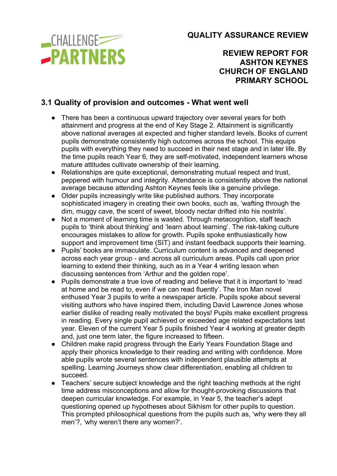

## **REVIEW REPORT FOR ASHTON KEYNES CHURCH OF ENGLAND PRIMARY SCHOOL**

## **3.1 Quality of provision and outcomes - What went well**

- There has been a continuous upward trajectory over several years for both attainment and progress at the end of Key Stage 2. Attainment is significantly above national averages at expected and higher standard levels. Books of current pupils demonstrate consistently high outcomes across the school. This equips pupils with everything they need to succeed in their next stage and in later life. By the time pupils reach Year 6, they are self-motivated, independent learners whose mature attitudes cultivate ownership of their learning.
- Relationships are quite exceptional, demonstrating mutual respect and trust, peppered with humour and integrity. Attendance is consistently above the national average because attending Ashton Keynes feels like a genuine privilege.
- Older pupils increasingly write like published authors. They incorporate sophisticated imagery in creating their own books, such as, 'wafting through the dim, muggy cave, the scent of sweet, bloody nectar drifted into his nostrils'.
- Not a moment of learning time is wasted. Through metacognition, staff teach pupils to 'think about thinking' and 'learn about learning'. The risk-taking culture encourages mistakes to allow for growth. Pupils spoke enthusiastically how support and improvement time (SIT) and instant feedback supports their learning.
- Pupils' books are immaculate. Curriculum content is advanced and deepened across each year group - and across all curriculum areas. Pupils call upon prior learning to extend their thinking, such as in a Year 4 writing lesson when discussing sentences from 'Arthur and the golden rope'.
- Pupils demonstrate a true love of reading and believe that it is important to 'read at home and be read to, even if we can read fluently'. The Iron Man novel enthused Year 3 pupils to write a newspaper article. Pupils spoke about several visiting authors who have inspired them, including David Lawrence Jones whose earlier dislike of reading really motivated the boys! Pupils make excellent progress in reading. Every single pupil achieved or exceeded age related expectations last year. Eleven of the current Year 5 pupils finished Year 4 working at greater depth and, just one term later, the figure increased to fifteen.
- Children make rapid progress through the Early Years Foundation Stage and apply their phonics knowledge to their reading and writing with confidence. More able pupils wrote several sentences with independent plausible attempts at spelling. Learning Journeys show clear differentiation, enabling all children to succeed.
- Teachers' secure subject knowledge and the right teaching methods at the right time address misconceptions and allow for thought-provoking discussions that deepen curricular knowledge. For example, in Year 5, the teacher's adept questioning opened up hypotheses about Sikhism for other pupils to question. This prompted philosophical questions from the pupils such as, 'why were they all men'?, 'why weren't there any women?'.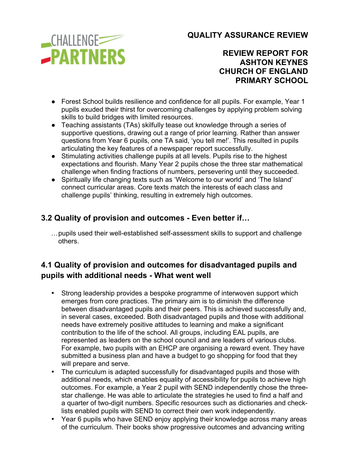

## **REVIEW REPORT FOR ASHTON KEYNES CHURCH OF ENGLAND PRIMARY SCHOOL**

- Forest School builds resilience and confidence for all pupils. For example, Year 1 pupils exuded their thirst for overcoming challenges by applying problem solving skills to build bridges with limited resources.
- Teaching assistants (TAs) skilfully tease out knowledge through a series of supportive questions, drawing out a range of prior learning. Rather than answer questions from Year 6 pupils, one TA said, 'you tell me!'. This resulted in pupils articulating the key features of a newspaper report successfully.
- Stimulating activities challenge pupils at all levels. Pupils rise to the highest expectations and flourish. Many Year 2 pupils chose the three star mathematical challenge when finding fractions of numbers, persevering until they succeeded.
- Spiritually life changing texts such as 'Welcome to our world' and 'The Island' connect curricular areas. Core texts match the interests of each class and challenge pupils' thinking, resulting in extremely high outcomes.

# **3.2 Quality of provision and outcomes - Even better if…**

…pupils used their well-established self-assessment skills to support and challenge others.

## **4.1 Quality of provision and outcomes for disadvantaged pupils and pupils with additional needs - What went well**

- Strong leadership provides a bespoke programme of interwoven support which emerges from core practices. The primary aim is to diminish the difference between disadvantaged pupils and their peers. This is achieved successfully and, in several cases, exceeded. Both disadvantaged pupils and those with additional needs have extremely positive attitudes to learning and make a significant contribution to the life of the school. All groups, including EAL pupils, are represented as leaders on the school council and are leaders of various clubs. For example, two pupils with an EHCP are organising a reward event. They have submitted a business plan and have a budget to go shopping for food that they will prepare and serve.
- The curriculum is adapted successfully for disadvantaged pupils and those with additional needs, which enables equality of accessibility for pupils to achieve high outcomes. For example, a Year 2 pupil with SEND independently chose the threestar challenge. He was able to articulate the strategies he used to find a half and a quarter of two-digit numbers. Specific resources such as dictionaries and checklists enabled pupils with SEND to correct their own work independently.
- Year 6 pupils who have SEND enjoy applying their knowledge across many areas of the curriculum. Their books show progressive outcomes and advancing writing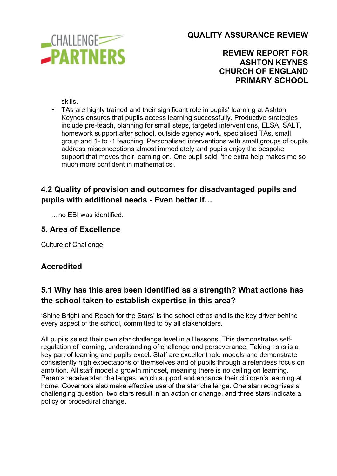

## **REVIEW REPORT FOR ASHTON KEYNES CHURCH OF ENGLAND PRIMARY SCHOOL**

skills.

• TAs are highly trained and their significant role in pupils' learning at Ashton Keynes ensures that pupils access learning successfully. Productive strategies include pre-teach, planning for small steps, targeted interventions, ELSA, SALT, homework support after school, outside agency work, specialised TAs, small group and 1- to -1 teaching. Personalised interventions with small groups of pupils address misconceptions almost immediately and pupils enjoy the bespoke support that moves their learning on. One pupil said, 'the extra help makes me so much more confident in mathematics'.

## **4.2 Quality of provision and outcomes for disadvantaged pupils and pupils with additional needs - Even better if…**

…no EBI was identified.

## **5. Area of Excellence**

Culture of Challenge

## **Accredited**

## **5.1 Why has this area been identified as a strength? What actions has the school taken to establish expertise in this area?**

'Shine Bright and Reach for the Stars' is the school ethos and is the key driver behind every aspect of the school, committed to by all stakeholders.

All pupils select their own star challenge level in all lessons. This demonstrates selfregulation of learning, understanding of challenge and perseverance. Taking risks is a key part of learning and pupils excel. Staff are excellent role models and demonstrate consistently high expectations of themselves and of pupils through a relentless focus on ambition. All staff model a growth mindset, meaning there is no ceiling on learning. Parents receive star challenges, which support and enhance their children's learning at home. Governors also make effective use of the star challenge. One star recognises a challenging question, two stars result in an action or change, and three stars indicate a policy or procedural change.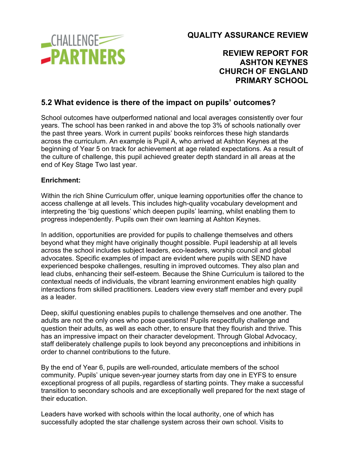

## **REVIEW REPORT FOR ASHTON KEYNES CHURCH OF ENGLAND PRIMARY SCHOOL**

## **5.2 What evidence is there of the impact on pupils' outcomes?**

School outcomes have outperformed national and local averages consistently over four years. The school has been ranked in and above the top 3% of schools nationally over the past three years. Work in current pupils' books reinforces these high standards across the curriculum. An example is Pupil A, who arrived at Ashton Keynes at the beginning of Year 5 on track for achievement at age related expectations. As a result of the culture of challenge, this pupil achieved greater depth standard in all areas at the end of Key Stage Two last year.

#### **Enrichment:**

Within the rich Shine Curriculum offer, unique learning opportunities offer the chance to access challenge at all levels. This includes high-quality vocabulary development and interpreting the 'big questions' which deepen pupils' learning, whilst enabling them to progress independently. Pupils own their own learning at Ashton Keynes.

In addition, opportunities are provided for pupils to challenge themselves and others beyond what they might have originally thought possible. Pupil leadership at all levels across the school includes subject leaders, eco-leaders, worship council and global advocates. Specific examples of impact are evident where pupils with SEND have experienced bespoke challenges, resulting in improved outcomes. They also plan and lead clubs, enhancing their self-esteem. Because the Shine Curriculum is tailored to the contextual needs of individuals, the vibrant learning environment enables high quality interactions from skilled practitioners. Leaders view every staff member and every pupil as a leader.

Deep, skilful questioning enables pupils to challenge themselves and one another. The adults are not the only ones who pose questions! Pupils respectfully challenge and question their adults, as well as each other, to ensure that they flourish and thrive. This has an impressive impact on their character development. Through Global Advocacy, staff deliberately challenge pupils to look beyond any preconceptions and inhibitions in order to channel contributions to the future.

By the end of Year 6, pupils are well-rounded, articulate members of the school community. Pupils' unique seven-year journey starts from day one in EYFS to ensure exceptional progress of all pupils, regardless of starting points. They make a successful transition to secondary schools and are exceptionally well prepared for the next stage of their education.

Leaders have worked with schools within the local authority, one of which has successfully adopted the star challenge system across their own school. Visits to